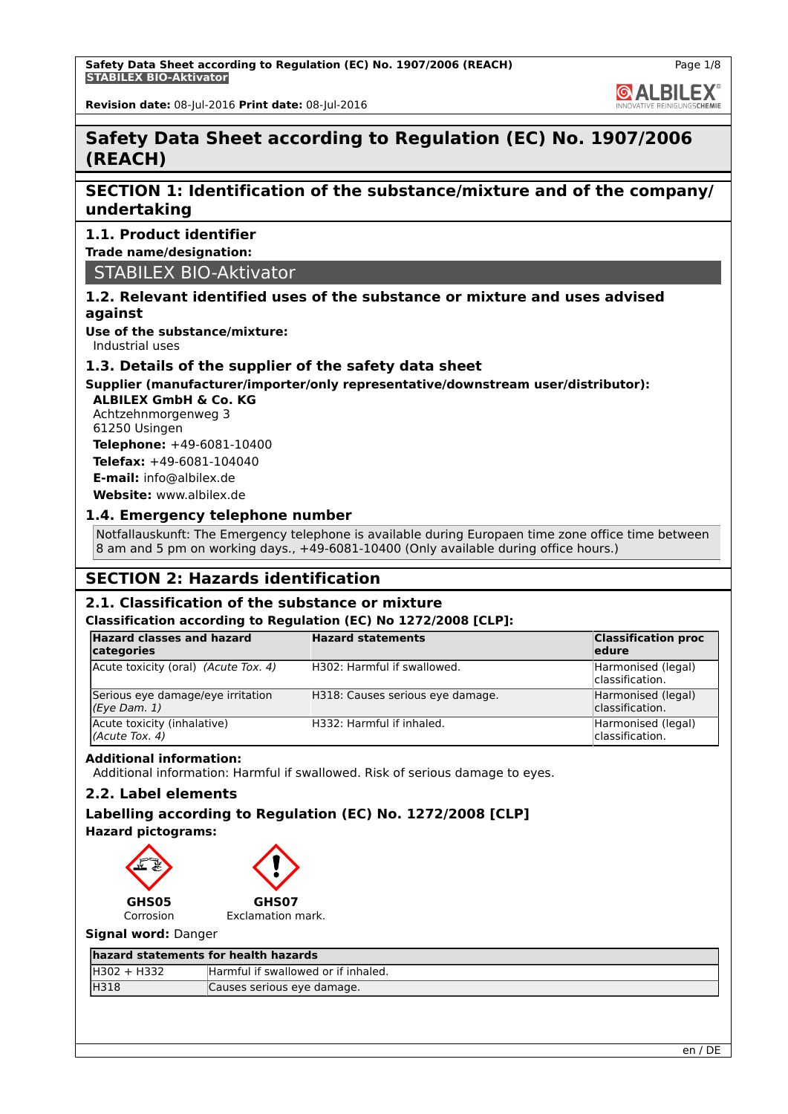**GALBILEX** 

**Revision date:** 08-Jul-2016 **Print date:** 08-Jul-2016

# **Safety Data Sheet according to Regulation (EC) No. 1907/2006 (REACH)**

# **SECTION 1: Identification of the substance/mixture and of the company/ undertaking**

# **1.1. Product identifier**

**Trade name/designation:**

STABILEX BIO-Aktivator

# **1.2. Relevant identified uses of the substance or mixture and uses advised against**

**Use of the substance/mixture:** Industrial uses

# **1.3. Details of the supplier of the safety data sheet**

# **Supplier (manufacturer/importer/only representative/downstream user/distributor):**

**ALBILEX GmbH & Co. KG** Achtzehnmorgenweg 3 61250 Usingen

**Telephone:** +49-6081-10400 **Telefax:** +49-6081-104040 **E-mail:** info@albilex.de

**Website:** www.albilex.de

# **1.4. Emergency telephone number**

Notfallauskunft: The Emergency telephone is available during Europaen time zone office time between 8 am and 5 pm on working days., +49-6081-10400 (Only available during office hours.)

# **SECTION 2: Hazards identification**

# **2.1. Classification of the substance or mixture**

#### **Classification according to Regulation (EC) No 1272/2008 [CLP]:**

| <b>Hazard classes and hazard</b><br>categories    | <b>Hazard statements</b>         | <b>Classification proc</b><br>ledure  |
|---------------------------------------------------|----------------------------------|---------------------------------------|
| Acute toxicity (oral) (Acute Tox. 4)              | H302: Harmful if swallowed.      | Harmonised (legal)<br>classification. |
| Serious eye damage/eye irritation<br>(Eye Dam. 1) | H318: Causes serious eye damage. | Harmonised (legal)<br>classification. |
| Acute toxicity (inhalative)<br>(Acute Tox. 4)     | H332: Harmful if inhaled.        | Harmonised (legal)<br>classification. |

# **Additional information:**

Additional information: Harmful if swallowed. Risk of serious damage to eyes.

# **2.2. Label elements**

# **Labelling according to Regulation (EC) No. 1272/2008 [CLP]**

**Hazard pictograms:**



#### **Signal word:** Danger

| hazard statements for health hazards |                                     |  |
|--------------------------------------|-------------------------------------|--|
| H302 + H332                          | Harmful if swallowed or if inhaled. |  |
| IH318                                | Causes serious eye damage.          |  |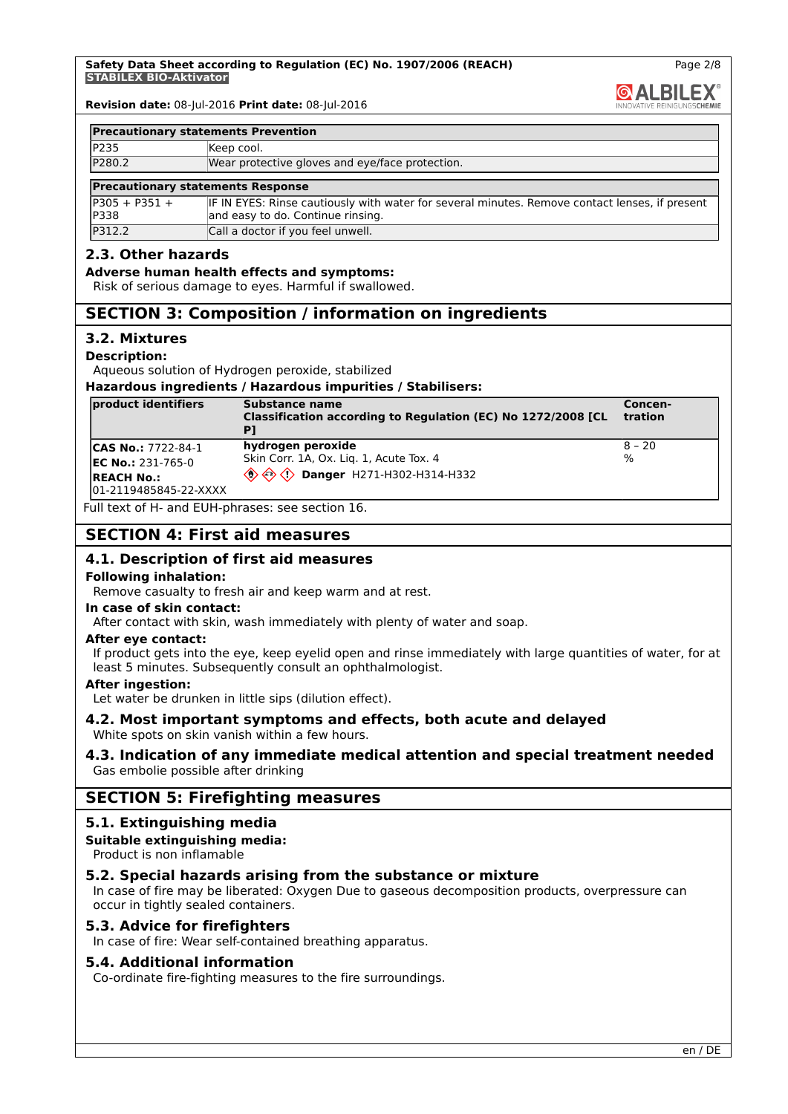and easy to do. Continue rinsing.

**GALBILEX** 

Page 2/8

**Revision date:** 08-Jul-2016 **Print date:** 08-Jul-2016

| <b>Precautionary statements Prevention</b> |                                                                                                |  |
|--------------------------------------------|------------------------------------------------------------------------------------------------|--|
| <b>P235</b>                                | Keep cool.                                                                                     |  |
| P280.2                                     | Wear protective gloves and eye/face protection.                                                |  |
| <b>Precautionary statements Response</b>   |                                                                                                |  |
| $IP305 + P351 +$                           | IF IN EYES: Rinse cautiously with water for several minutes. Remove contact lenses, if present |  |

# P312.2 Call a doctor if you feel unwell.

P338

# **2.3. Other hazards**

#### **Adverse human health effects and symptoms:**

Risk of serious damage to eyes. Harmful if swallowed.

# **SECTION 3: Composition / information on ingredients**

#### **3.2. Mixtures**

#### **Description:**

Aqueous solution of Hydrogen peroxide, stabilized

#### **Hazardous ingredients / Hazardous impurities / Stabilisers:**

| product identifiers   | Substance name<br>Classification according to Regulation (EC) No 1272/2008 [CL                 | Concen-<br><b>tration</b> |
|-----------------------|------------------------------------------------------------------------------------------------|---------------------------|
| $ CAS No.: 7722-84-1$ | hydrogen peroxide                                                                              | $ 8 - 20 $                |
| $EC No.: 231-765-0$   | Skin Corr. 1A, Ox. Lig. 1, Acute Tox. 4                                                        | $\frac{9}{6}$             |
| <b>IREACH No.:</b>    | $\langle \hat{\mathbb{Q}} \rangle \langle \hat{\mathbb{Q}} \rangle$ Danger H271-H302-H314-H332 |                           |
| 01-2119485845-22-XXXX |                                                                                                |                           |

Full text of H- and EUH-phrases: see section 16.

# **SECTION 4: First aid measures**

# **4.1. Description of first aid measures**

#### **Following inhalation:**

Remove casualty to fresh air and keep warm and at rest.

#### **In case of skin contact:**

After contact with skin, wash immediately with plenty of water and soap.

#### **After eye contact:**

If product gets into the eye, keep eyelid open and rinse immediately with large quantities of water, for at least 5 minutes. Subsequently consult an ophthalmologist.

#### **After ingestion:**

Let water be drunken in little sips (dilution effect).

# **4.2. Most important symptoms and effects, both acute and delayed**

White spots on skin vanish within a few hours.

# **4.3. Indication of any immediate medical attention and special treatment needed** Gas embolie possible after drinking

# **SECTION 5: Firefighting measures**

# **5.1. Extinguishing media**

#### **Suitable extinguishing media:**

Product is non inflamable

# **5.2. Special hazards arising from the substance or mixture**

In case of fire may be liberated: Oxygen Due to gaseous decomposition products, overpressure can occur in tightly sealed containers.

### **5.3. Advice for firefighters**

In case of fire: Wear self-contained breathing apparatus.

#### **5.4. Additional information**

Co-ordinate fire-fighting measures to the fire surroundings.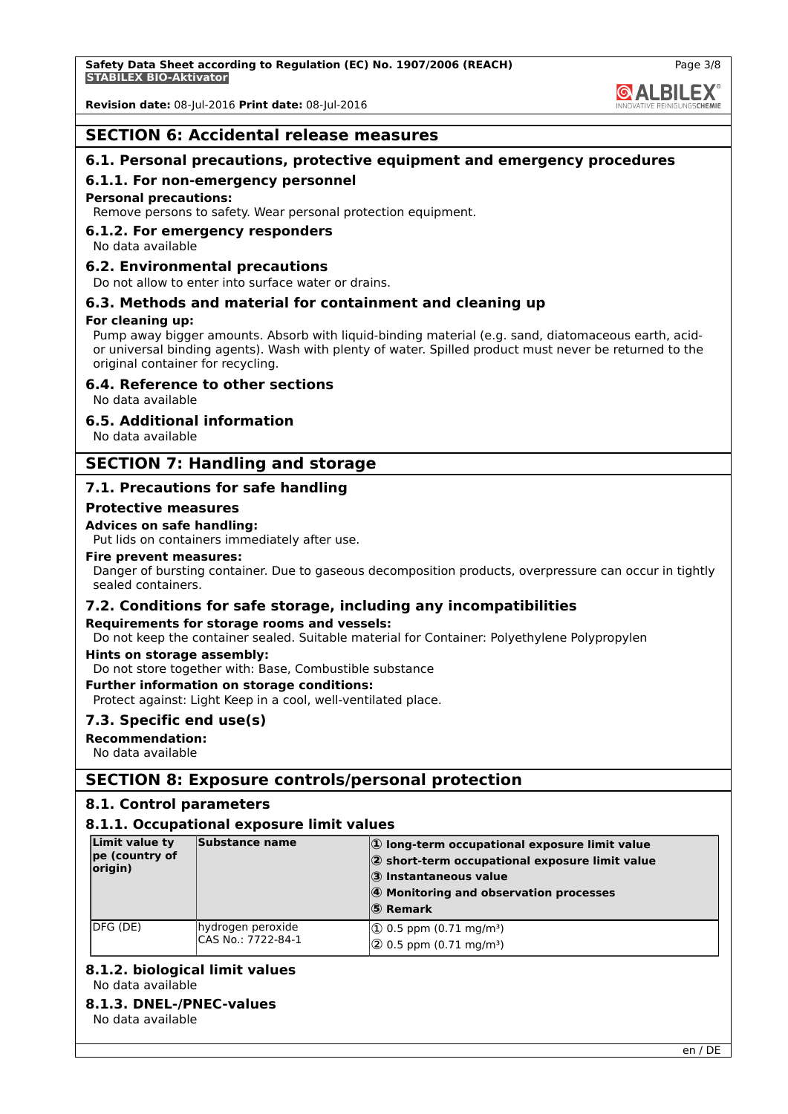

# **SECTION 6: Accidental release measures**

# **6.1. Personal precautions, protective equipment and emergency procedures**

# **6.1.1. For non-emergency personnel**

# **Personal precautions:**

Remove persons to safety. Wear personal protection equipment.

# **6.1.2. For emergency responders**

No data available

# **6.2. Environmental precautions**

Do not allow to enter into surface water or drains.

# **6.3. Methods and material for containment and cleaning up**

# **For cleaning up:**

Pump away bigger amounts. Absorb with liquid-binding material (e.g. sand, diatomaceous earth, acidor universal binding agents). Wash with plenty of water. Spilled product must never be returned to the original container for recycling.

#### **6.4. Reference to other sections**

No data available

#### **6.5. Additional information**

No data available

# **SECTION 7: Handling and storage**

# **7.1. Precautions for safe handling**

#### **Protective measures**

#### **Advices on safe handling:**

Put lids on containers immediately after use.

#### **Fire prevent measures:**

Danger of bursting container. Due to gaseous decomposition products, overpressure can occur in tightly sealed containers.

# **7.2. Conditions for safe storage, including any incompatibilities**

#### **Requirements for storage rooms and vessels:**

Do not keep the container sealed. Suitable material for Container: Polyethylene Polypropylen

#### **Hints on storage assembly:**

Do not store together with: Base, Combustible substance

#### **Further information on storage conditions:**

Protect against: Light Keep in a cool, well-ventilated place.

# **7.3. Specific end use(s)**

**Recommendation:**

No data available

# **SECTION 8: Exposure controls/personal protection**

# **8.1. Control parameters**

# **8.1.1. Occupational exposure limit values**

| Limit value ty<br>pe (country of<br>origin) | Substance name                          | $ 0\rangle$ long-term occupational exposure limit value<br>2 short-term occupational exposure limit value<br>3 Instantaneous value<br>4 Monitoring and observation processes<br>$ S\rangle$ Remark |
|---------------------------------------------|-----------------------------------------|----------------------------------------------------------------------------------------------------------------------------------------------------------------------------------------------------|
| IDFG (DE)                                   | hydrogen peroxide<br>CAS No.: 7722-84-1 | $(1)$ 0.5 ppm (0.71 mg/m <sup>3</sup> )<br>$\sqrt{2}$ 0.5 ppm (0.71 mg/m <sup>3</sup> )                                                                                                            |

# **8.1.2. biological limit values**

No data available

# **8.1.3. DNEL-/PNEC-values**

No data available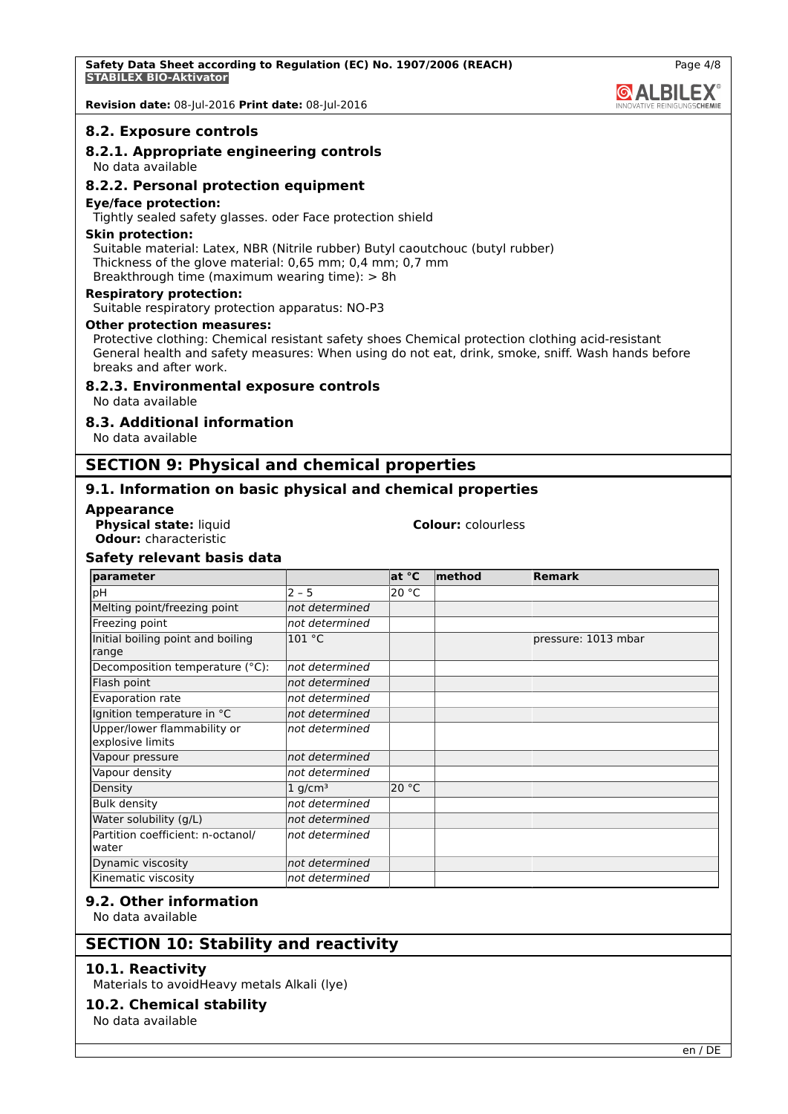#### **8.2. Exposure controls**

# **8.2.1. Appropriate engineering controls**

No data available

### **8.2.2. Personal protection equipment**

#### **Eye/face protection:**

Tightly sealed safety glasses. oder Face protection shield

#### **Skin protection:**

Suitable material: Latex, NBR (Nitrile rubber) Butyl caoutchouc (butyl rubber) Thickness of the glove material: 0,65 mm; 0,4 mm; 0,7 mm Breakthrough time (maximum wearing time): > 8h

#### **Respiratory protection:**

Suitable respiratory protection apparatus: NO-P3

#### **Other protection measures:**

Protective clothing: Chemical resistant safety shoes Chemical protection clothing acid-resistant General health and safety measures: When using do not eat, drink, smoke, sniff. Wash hands before breaks and after work.

#### **8.2.3. Environmental exposure controls**

No data available

#### **8.3. Additional information**

No data available

# **SECTION 9: Physical and chemical properties**

# **9.1. Information on basic physical and chemical properties**

#### **Appearance**

**Physical state:** liquid **Colour:** colourless **Odour:** characteristic

# **Safety relevant basis data**

| parameter                                       |                       | at °C | $ $ method | <b>Remark</b>       |
|-------------------------------------------------|-----------------------|-------|------------|---------------------|
| pH                                              | $2 - 5$               | 20 °C |            |                     |
| Melting point/freezing point                    | not determined        |       |            |                     |
| Freezing point                                  | not determined        |       |            |                     |
| Initial boiling point and boiling<br>range      | 101 °C                |       |            | pressure: 1013 mbar |
| Decomposition temperature (°C):                 | not determined        |       |            |                     |
| Flash point                                     | not determined        |       |            |                     |
| Evaporation rate                                | not determined        |       |            |                     |
| Ignition temperature in °C                      | not determined        |       |            |                     |
| Upper/lower flammability or<br>explosive limits | not determined        |       |            |                     |
| Vapour pressure                                 | not determined        |       |            |                     |
| Vapour density                                  | not determined        |       |            |                     |
| Density                                         | $1$ g/cm <sup>3</sup> | 20 °C |            |                     |
| <b>Bulk density</b>                             | not determined        |       |            |                     |
| Water solubility (g/L)                          | not determined        |       |            |                     |
| Partition coefficient: n-octanol/<br>water      | not determined        |       |            |                     |
| Dynamic viscosity                               | not determined        |       |            |                     |
| Kinematic viscosity                             | not determined        |       |            |                     |

#### **9.2. Other information**

No data available

# **SECTION 10: Stability and reactivity**

# **10.1. Reactivity**

Materials to avoidHeavy metals Alkali (lye)

# **10.2. Chemical stability**

No data available

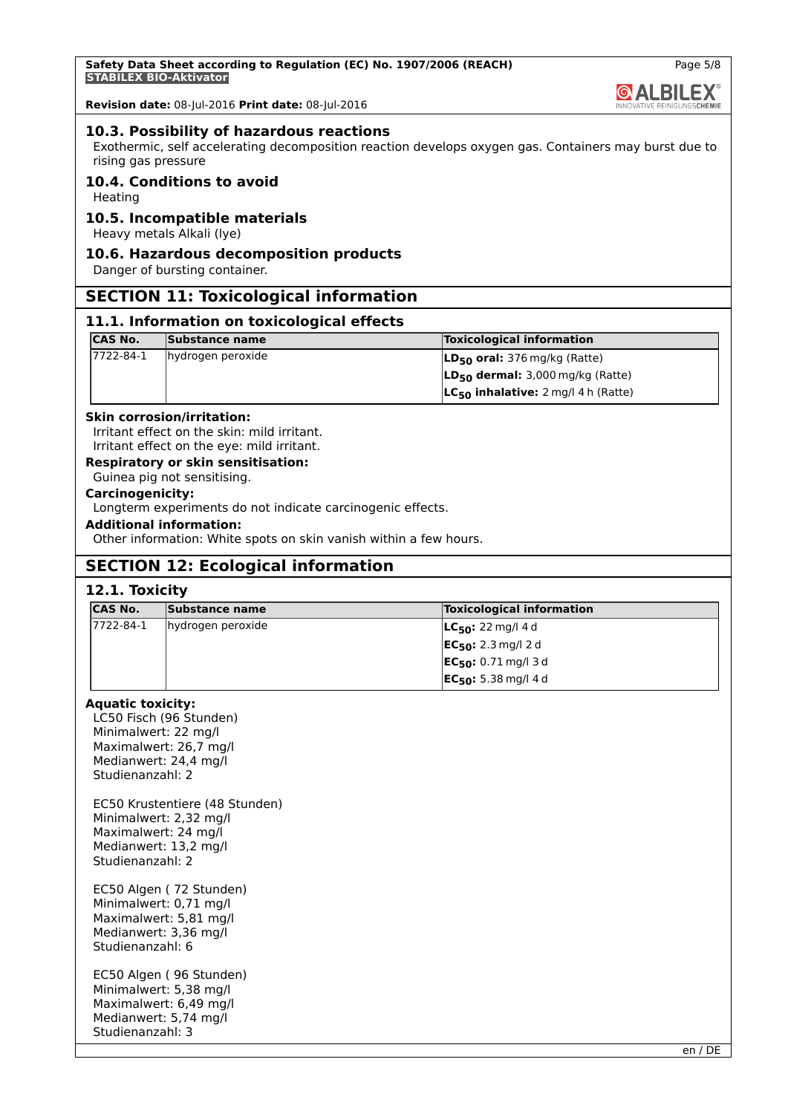

#### **10.3. Possibility of hazardous reactions**

Exothermic, self accelerating decomposition reaction develops oxygen gas. Containers may burst due to rising gas pressure

# **10.4. Conditions to avoid**

Heating

#### **10.5. Incompatible materials**

Heavy metals Alkali (lye)

# **10.6. Hazardous decomposition products**

Danger of bursting container.

# **SECTION 11: Toxicological information**

#### **11.1. Information on toxicological effects**

| <b>CAS No.</b> | Substance name    | <b>Toxicological information</b>         |
|----------------|-------------------|------------------------------------------|
| 17722-84-1     | hydrogen peroxide | $LD_{50}$ oral: 376 mg/kg (Ratte)        |
|                |                   | $LD_{50}$ dermal: 3,000 mg/kg (Ratte)    |
|                |                   | $LC_{50}$ inhalative: 2 mg/l 4 h (Ratte) |

#### **Skin corrosion/irritation:**

Irritant effect on the skin: mild irritant. Irritant effect on the eye: mild irritant.

# **Respiratory or skin sensitisation:**

Guinea pig not sensitising.

# **Carcinogenicity:**

Longterm experiments do not indicate carcinogenic effects.

# **Additional information:**

Other information: White spots on skin vanish within a few hours.

# **SECTION 12: Ecological information**

### **12.1. Toxicity**

| ICAS No.   | Substance name    | <b>Toxicological information</b>      |
|------------|-------------------|---------------------------------------|
| 17722-84-1 | hydrogen peroxide | <b>LC<sub>50</sub>:</b> 22 mg/l 4 d   |
|            |                   | <b>EC<sub>50</sub>:</b> 2.3 mg/l 2 d  |
|            |                   | <b>EC<sub>50</sub>:</b> 0.71 mg/l 3 d |
|            |                   | $EC_{50}$ : 5.38 mg/l 4 d             |

#### **Aquatic toxicity:**

LC50 Fisch (96 Stunden) Minimalwert: 22 mg/l Maximalwert: 26,7 mg/l Medianwert: 24,4 mg/l Studienanzahl: 2

EC50 Krustentiere (48 Stunden) Minimalwert: 2,32 mg/l Maximalwert: 24 mg/l Medianwert: 13,2 mg/l Studienanzahl: 2

EC50 Algen ( 72 Stunden) Minimalwert: 0,71 mg/l Maximalwert: 5,81 mg/l Medianwert: 3,36 mg/l Studienanzahl: 6

EC50 Algen ( 96 Stunden) Minimalwert: 5,38 mg/l Maximalwert: 6,49 mg/l Medianwert: 5,74 mg/l Studienanzahl: 3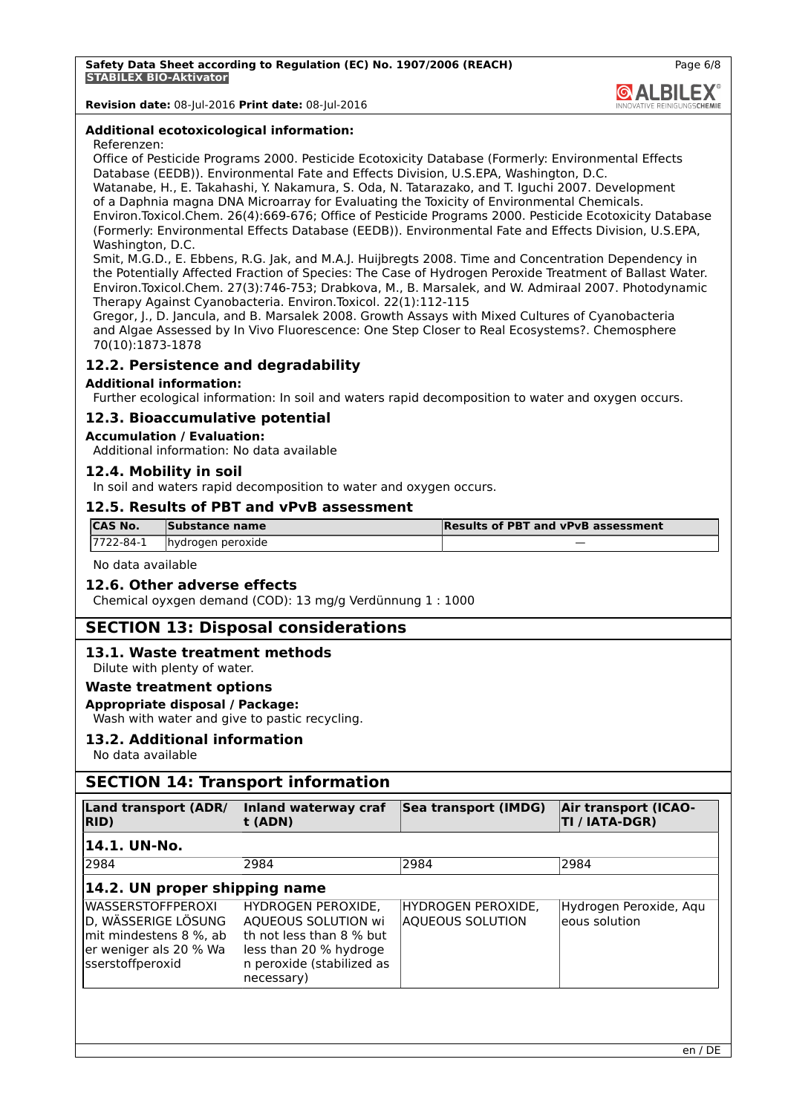

#### **Additional ecotoxicological information:**

#### Referenzen:

Office of Pesticide Programs 2000. Pesticide Ecotoxicity Database (Formerly: Environmental Effects Database (EEDB)). Environmental Fate and Effects Division, U.S.EPA, Washington, D.C. Watanabe, H., E. Takahashi, Y. Nakamura, S. Oda, N. Tatarazako, and T. Iguchi 2007. Development of a Daphnia magna DNA Microarray for Evaluating the Toxicity of Environmental Chemicals. Environ.Toxicol.Chem. 26(4):669-676; Office of Pesticide Programs 2000. Pesticide Ecotoxicity Database (Formerly: Environmental Effects Database (EEDB)). Environmental Fate and Effects Division, U.S.EPA, Washington, D.C.

Smit, M.G.D., E. Ebbens, R.G. Jak, and M.A.J. Huijbregts 2008. Time and Concentration Dependency in the Potentially Affected Fraction of Species: The Case of Hydrogen Peroxide Treatment of Ballast Water. Environ.Toxicol.Chem. 27(3):746-753; Drabkova, M., B. Marsalek, and W. Admiraal 2007. Photodynamic Therapy Against Cyanobacteria. Environ.Toxicol. 22(1):112-115

Gregor, J., D. Jancula, and B. Marsalek 2008. Growth Assays with Mixed Cultures of Cyanobacteria and Algae Assessed by In Vivo Fluorescence: One Step Closer to Real Ecosystems?. Chemosphere 70(10):1873-1878

# **12.2. Persistence and degradability**

#### **Additional information:**

Further ecological information: In soil and waters rapid decomposition to water and oxygen occurs.

#### **12.3. Bioaccumulative potential**

#### **Accumulation / Evaluation:**

Additional information: No data available

#### **12.4. Mobility in soil**

In soil and waters rapid decomposition to water and oxygen occurs.

#### **12.5. Results of PBT and vPvB assessment**

| ICAS No.   | Substance name    | <b>Results of PBT and vPvB assessment</b> |
|------------|-------------------|-------------------------------------------|
| 17722-84-1 | hydrogen peroxide |                                           |

No data available

#### **12.6. Other adverse effects**

Chemical oyxgen demand (COD): 13 mg/g Verdünnung 1 : 1000

# **SECTION 13: Disposal considerations**

#### **13.1. Waste treatment methods**

Dilute with plenty of water.

# **Waste treatment options**

# **Appropriate disposal / Package:**

Wash with water and give to pastic recycling.

#### **13.2. Additional information**

No data available

# **SECTION 14: Transport information**

| <b>Land transport (ADR/</b><br>RID)                                                                                     | Inland waterway craf<br>t (ADN)                                                                                                            | Sea transport (IMDG)                          | Air transport (ICAO-<br>TI / IATA-DGR)  |
|-------------------------------------------------------------------------------------------------------------------------|--------------------------------------------------------------------------------------------------------------------------------------------|-----------------------------------------------|-----------------------------------------|
| 14.1. UN-No.                                                                                                            |                                                                                                                                            |                                               |                                         |
| 2984                                                                                                                    | 2984                                                                                                                                       | 2984                                          | 2984                                    |
| $ 14.2.$ UN proper shipping name                                                                                        |                                                                                                                                            |                                               |                                         |
| <b>WASSERSTOFFPEROXI</b><br>D, WÄSSERIGE LÖSUNG<br>mit mindestens 8 %, ab<br>er weniger als 20 % Wa<br>sserstoffperoxid | HYDROGEN PEROXIDE.<br>AQUEOUS SOLUTION wi<br>th not less than 8 % but<br>less than 20 % hydroge<br>n peroxide (stabilized as<br>necessary) | HYDROGEN PEROXIDE,<br><b>AQUEOUS SOLUTION</b> | Hydrogen Peroxide, Aqu<br>eous solution |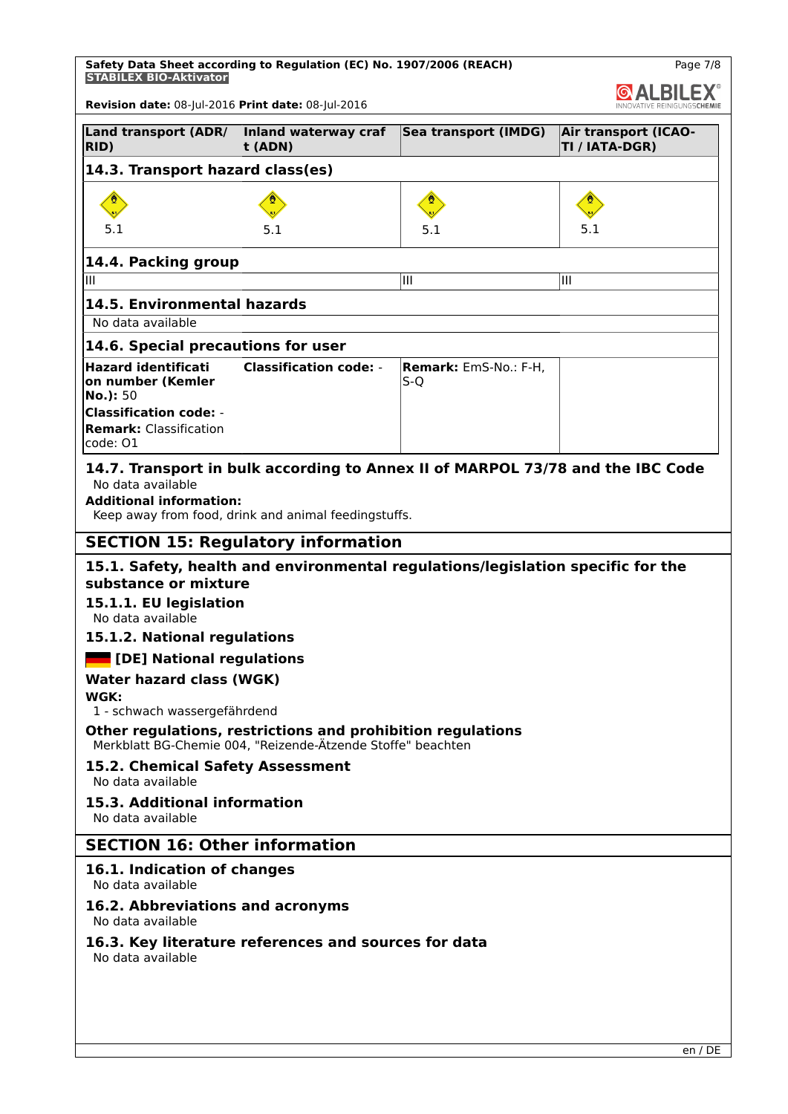**Safety Data Sheet according to Regulation (EC) No. 1907/2006 (REACH) STABILEX BIO-Aktivator**

| LBILEX                                                                    |                                                                                                                            |                                                                                 |                                               |  |  |
|---------------------------------------------------------------------------|----------------------------------------------------------------------------------------------------------------------------|---------------------------------------------------------------------------------|-----------------------------------------------|--|--|
| Revision date: 08-Jul-2016 Print date: 08-Jul-2016                        |                                                                                                                            |                                                                                 |                                               |  |  |
| Land transport (ADR/<br>RID)                                              | Inland waterway craf<br>t (ADN)                                                                                            | Sea transport (IMDG)                                                            | <b>Air transport (ICAO-</b><br>TI / IATA-DGR) |  |  |
| 14.3. Transport hazard class(es)                                          |                                                                                                                            |                                                                                 |                                               |  |  |
|                                                                           |                                                                                                                            |                                                                                 |                                               |  |  |
|                                                                           |                                                                                                                            |                                                                                 |                                               |  |  |
| 5.1                                                                       | 5.1                                                                                                                        | 5.1                                                                             | 5.1                                           |  |  |
| 14.4. Packing group                                                       |                                                                                                                            |                                                                                 |                                               |  |  |
| Ш                                                                         |                                                                                                                            | Ш                                                                               | IШ                                            |  |  |
| 14.5. Environmental hazards                                               |                                                                                                                            |                                                                                 |                                               |  |  |
| No data available                                                         |                                                                                                                            |                                                                                 |                                               |  |  |
| 14.6. Special precautions for user                                        |                                                                                                                            |                                                                                 |                                               |  |  |
| <b>Hazard identificati</b><br>on number (Kemler                           | <b>Classification code: -</b>                                                                                              | <b>Remark: EmS-No.: F-H,</b><br>S-Q                                             |                                               |  |  |
| No.): 50                                                                  |                                                                                                                            |                                                                                 |                                               |  |  |
| <b>Classification code: -</b>                                             |                                                                                                                            |                                                                                 |                                               |  |  |
| <b>Remark: Classification</b><br>code: 01                                 |                                                                                                                            |                                                                                 |                                               |  |  |
|                                                                           |                                                                                                                            | 14.7. Transport in bulk according to Annex II of MARPOL 73/78 and the IBC Code  |                                               |  |  |
| No data available                                                         |                                                                                                                            |                                                                                 |                                               |  |  |
| <b>Additional information:</b>                                            | Keep away from food, drink and animal feedingstuffs.                                                                       |                                                                                 |                                               |  |  |
|                                                                           |                                                                                                                            |                                                                                 |                                               |  |  |
|                                                                           | <b>SECTION 15: Regulatory information</b>                                                                                  |                                                                                 |                                               |  |  |
| substance or mixture                                                      |                                                                                                                            | 15.1. Safety, health and environmental regulations/legislation specific for the |                                               |  |  |
| 15.1.1. EU legislation                                                    |                                                                                                                            |                                                                                 |                                               |  |  |
| No data available                                                         |                                                                                                                            |                                                                                 |                                               |  |  |
| 15.1.2. National regulations                                              |                                                                                                                            |                                                                                 |                                               |  |  |
| [DE] National regulations                                                 |                                                                                                                            |                                                                                 |                                               |  |  |
| Water hazard class (WGK)                                                  |                                                                                                                            |                                                                                 |                                               |  |  |
|                                                                           | WGK:<br>1 - schwach wassergefährdend                                                                                       |                                                                                 |                                               |  |  |
|                                                                           | Other regulations, restrictions and prohibition regulations<br>Merkblatt BG-Chemie 004, "Reizende-Ätzende Stoffe" beachten |                                                                                 |                                               |  |  |
| No data available                                                         | 15.2. Chemical Safety Assessment                                                                                           |                                                                                 |                                               |  |  |
| 15.3. Additional information                                              |                                                                                                                            |                                                                                 |                                               |  |  |
| No data available                                                         |                                                                                                                            |                                                                                 |                                               |  |  |
| <b>SECTION 16: Other information</b>                                      |                                                                                                                            |                                                                                 |                                               |  |  |
| 16.1. Indication of changes<br>No data available                          |                                                                                                                            |                                                                                 |                                               |  |  |
| 16.2. Abbreviations and acronyms<br>No data available                     |                                                                                                                            |                                                                                 |                                               |  |  |
| 16.3. Key literature references and sources for data<br>No data available |                                                                                                                            |                                                                                 |                                               |  |  |
|                                                                           |                                                                                                                            |                                                                                 |                                               |  |  |
|                                                                           |                                                                                                                            |                                                                                 |                                               |  |  |
|                                                                           |                                                                                                                            |                                                                                 |                                               |  |  |
|                                                                           |                                                                                                                            |                                                                                 |                                               |  |  |

Page 7/8